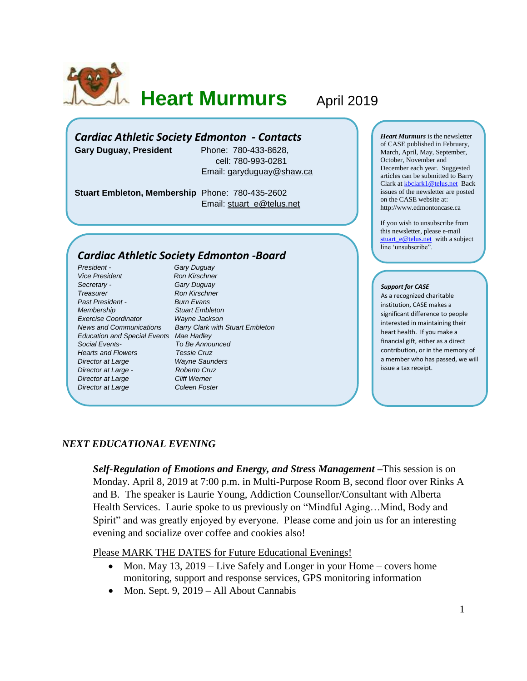

# **Heart Murmurs April 2019**

## *Cardiac Athletic Society Edmonton - Contacts*

**Gary Duguay, President** Phone: 780-433-8628,

 cell: 780-993-0281 Email: [garyduguay@shaw.ca](mailto:garyduguay@shaw.ca)

**Stuart Embleton, Membership** Phone: 780-435-2602 Email: [stuart\\_e@telus.net](mailto:stuart_e@telus.net)

# *Cardiac Athletic Society Edmonton -Board*

*President - Gary Duguay* **Vice President Ron Kirschner** *Secretary - Gary Duguay* **Treasurer Ron Kirschner** *Past President - Burn Evans Membership Stuart Embleton Exercise Coordinator Wayne Jackson Education and Special Events Mae Hadley Social Events- To Be Announced Hearts and Flowers Tessie Cruz Director at Large Wayne Saunders Director at Large - Roberto Cruz* **Director at Large Cliff Werner Director at Large Coleen Foster** 

*News and Communications Barry Clark with Stuart Embleton*

*Heart Murmurs* is the newsletter of CASE published in February, March, April, May, September, October, November and December each year. Suggested articles can be submitted to Barry Clark a[t kbclark1@telus.net](mailto:kbclark1@telus.net) Back issues of the newsletter are posted on the CASE website at: [http://www.edmontoncase.ca](http://www.edmontoncase.ca/)

If you wish to unsubscribe from this newsletter, please e-mail [stuart\\_e@telus.net](mailto:stuart_e@telus.net) with a subject line 'unsubscribe".

#### *Support for CASE*

As a recognized charitable institution, CASE makes a significant difference to people interested in maintaining their heart health. If you make a financial gift, either as a direct contribution, or in the memory of a member who has passed, we will issue a tax receipt.

### *NEXT EDUCATIONAL EVENING*

*Self-Regulation of Emotions and Energy, and Stress Management –*This session is on Monday. April 8, 2019 at 7:00 p.m. in Multi-Purpose Room B, second floor over Rinks A and B. The speaker is Laurie Young, Addiction Counsellor/Consultant with Alberta Health Services. Laurie spoke to us previously on "Mindful Aging…Mind, Body and Spirit" and was greatly enjoyed by everyone. Please come and join us for an interesting evening and socialize over coffee and cookies also!

Please MARK THE DATES for Future Educational Evenings!

- Mon. May 13, 2019 Live Safely and Longer in your Home covers home monitoring, support and response services, GPS monitoring information
- Mon. Sept. 9, 2019 All About Cannabis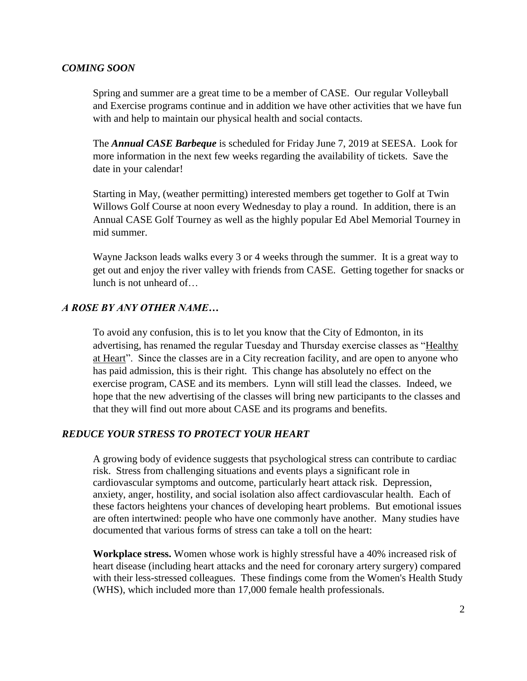### *COMING SOON*

Spring and summer are a great time to be a member of CASE. Our regular Volleyball and Exercise programs continue and in addition we have other activities that we have fun with and help to maintain our physical health and social contacts.

The *Annual CASE Barbeque* is scheduled for Friday June 7, 2019 at SEESA. Look for more information in the next few weeks regarding the availability of tickets. Save the date in your calendar!

Starting in May, (weather permitting) interested members get together to Golf at Twin Willows Golf Course at noon every Wednesday to play a round. In addition, there is an Annual CASE Golf Tourney as well as the highly popular Ed Abel Memorial Tourney in mid summer.

Wayne Jackson leads walks every 3 or 4 weeks through the summer. It is a great way to get out and enjoy the river valley with friends from CASE. Getting together for snacks or lunch is not unheard of…

# *A ROSE BY ANY OTHER NAME…*

To avoid any confusion, this is to let you know that the City of Edmonton, in its advertising, has renamed the regular Tuesday and Thursday exercise classes as "Healthy at Heart". Since the classes are in a City recreation facility, and are open to anyone who has paid admission, this is their right. This change has absolutely no effect on the exercise program, CASE and its members. Lynn will still lead the classes. Indeed, we hope that the new advertising of the classes will bring new participants to the classes and that they will find out more about CASE and its programs and benefits.

### *REDUCE YOUR STRESS TO PROTECT YOUR HEART*

A growing body of evidence suggests that psychological stress can contribute to cardiac risk. Stress from challenging situations and events plays a significant role in cardiovascular symptoms and outcome, particularly heart attack risk. Depression, anxiety, anger, hostility, and social isolation also affect cardiovascular health. Each of these factors heightens your chances of developing heart problems. But emotional issues are often intertwined: people who have one commonly have another. Many studies have documented that various forms of stress can take a toll on the heart:

**Workplace stress.** Women whose work is highly stressful have a 40% increased risk of heart disease (including heart attacks and the need for coronary artery surgery) compared with their less-stressed colleagues. These findings come from the Women's Health Study (WHS), which included more than 17,000 female health professionals.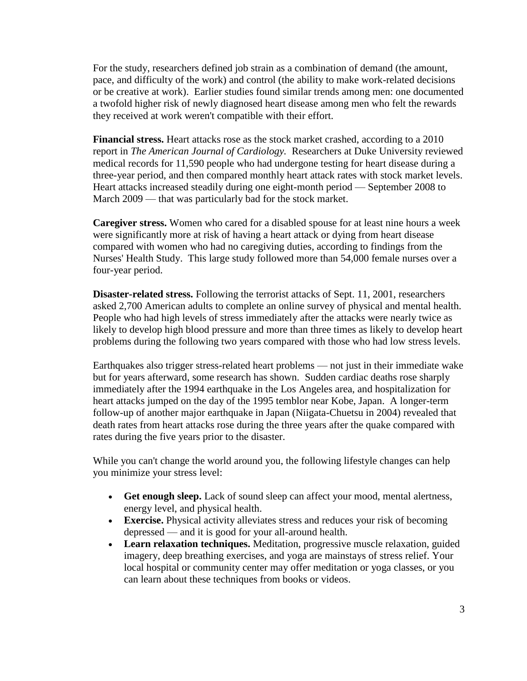For the study, researchers defined job strain as a combination of demand (the amount, pace, and difficulty of the work) and control (the ability to make work-related decisions or be creative at work). Earlier studies found similar trends among men: one documented a twofold higher risk of newly diagnosed heart disease among men who felt the rewards they received at work weren't compatible with their effort.

**Financial stress.** Heart attacks rose as the stock market crashed, according to a 2010 report in *The American Journal of Cardiology.* Researchers at Duke University reviewed medical records for 11,590 people who had undergone testing for heart disease during a three-year period, and then compared monthly heart attack rates with stock market levels. Heart attacks increased steadily during one eight-month period — September 2008 to March 2009 — that was particularly bad for the stock market.

**Caregiver stress.** Women who cared for a disabled spouse for at least nine hours a week were significantly more at risk of having a heart attack or dying from heart disease compared with women who had no caregiving duties, according to findings from the Nurses' Health Study. This large study followed more than 54,000 female nurses over a four-year period.

**Disaster-related stress.** Following the terrorist attacks of Sept. 11, 2001, researchers asked 2,700 American adults to complete an online survey of physical and mental health. People who had high levels of stress immediately after the attacks were nearly twice as likely to develop high blood pressure and more than three times as likely to develop heart problems during the following two years compared with those who had low stress levels.

Earthquakes also trigger stress-related heart problems — not just in their immediate wake but for years afterward, some research has shown. Sudden cardiac deaths rose sharply immediately after the 1994 earthquake in the Los Angeles area, and hospitalization for heart attacks jumped on the day of the 1995 temblor near Kobe, Japan. A longer-term follow-up of another major earthquake in Japan (Niigata-Chuetsu in 2004) revealed that death rates from heart attacks rose during the three years after the quake compared with rates during the five years prior to the disaster.

While you can't change the world around you, the following lifestyle changes can help you minimize your stress level:

- **Get enough sleep.** Lack of sound sleep can affect your mood, mental alertness, energy level, and physical health.
- **Exercise.** Physical activity alleviates stress and reduces your risk of becoming depressed — and it is good for your all-around health.
- **Learn relaxation techniques.** Meditation, progressive muscle relaxation, guided imagery, deep breathing exercises, and yoga are mainstays of stress relief. Your local hospital or community center may offer meditation or yoga classes, or you can learn about these techniques from books or videos.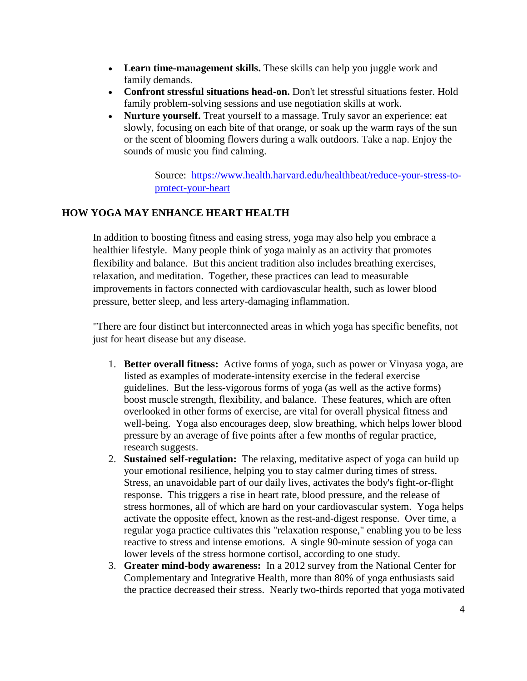- Learn time-management skills. These skills can help you juggle work and family demands.
- **Confront stressful situations head-on.** Don't let stressful situations fester. Hold family problem-solving sessions and use negotiation skills at work.
- **Nurture yourself.** Treat yourself to a massage. Truly savor an experience: eat slowly, focusing on each bite of that orange, or soak up the warm rays of the sun or the scent of blooming flowers during a walk outdoors. Take a nap. Enjoy the sounds of music you find calming.

Source: [https://www.health.harvard.edu/healthbeat/reduce-your-stress-to](https://www.health.harvard.edu/healthbeat/reduce-your-stress-to-protect-your-heart)[protect-your-heart](https://www.health.harvard.edu/healthbeat/reduce-your-stress-to-protect-your-heart)

# **HOW YOGA MAY ENHANCE HEART HEALTH**

In addition to boosting fitness and easing stress, yoga may also help you embrace a healthier lifestyle. Many people think of yoga mainly as an activity that promotes flexibility and balance. But this ancient tradition also includes breathing exercises, relaxation, and meditation. Together, these practices can lead to measurable improvements in factors connected with cardiovascular health, such as lower blood pressure, better sleep, and less artery-damaging inflammation.

"There are four distinct but interconnected areas in which yoga has specific benefits, not just for heart disease but any disease.

- 1. **Better overall fitness:** Active forms of yoga, such as power or Vinyasa yoga, are listed as examples of moderate-intensity exercise in the federal exercise guidelines. But the less-vigorous forms of yoga (as well as the active forms) boost muscle strength, flexibility, and balance. These features, which are often overlooked in other forms of exercise, are vital for overall physical fitness and well-being. Yoga also encourages deep, slow breathing, which helps lower blood pressure by an average of five points after a few months of regular practice, research suggests.
- 2. **Sustained self-regulation:** The relaxing, meditative aspect of yoga can build up your emotional resilience, helping you to stay calmer during times of stress. Stress, an unavoidable part of our daily lives, activates the body's fight-or-flight response. This triggers a rise in heart rate, blood pressure, and the release of stress hormones, all of which are hard on your cardiovascular system. Yoga helps activate the opposite effect, known as the rest-and-digest response. Over time, a regular yoga practice cultivates this "relaxation response," enabling you to be less reactive to stress and intense emotions. A single 90-minute session of yoga can lower levels of the stress hormone cortisol, according to one study.
- 3. **Greater mind-body awareness:** In a 2012 survey from the National Center for Complementary and Integrative Health, more than 80% of yoga enthusiasts said the practice decreased their stress. Nearly two-thirds reported that yoga motivated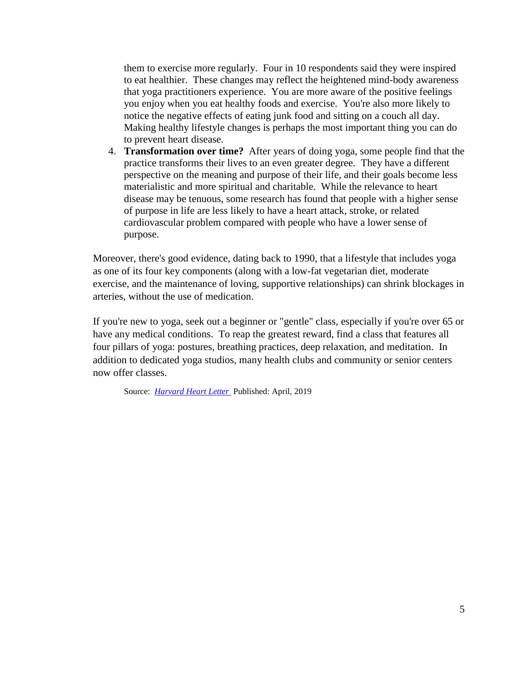them to exercise more regularly. Four in 10 respondents said they were inspired to eat healthier. These changes may reflect the heightened mind-body awareness that yoga practitioners experience. You are more aware of the positive feelings you enjoy when you eat healthy foods and exercise. You're also more likely to notice the negative effects of eating junk food and sitting on a couch all day. Making healthy lifestyle changes is perhaps the most important thing you can do to prevent heart disease.

4. **Transformation over time?** After years of doing yoga, some people find that the practice transforms their lives to an even greater degree. They have a different perspective on the meaning and purpose of their life, and their goals become less materialistic and more spiritual and charitable. While the relevance to heart disease may be tenuous, some research has found that people with a higher sense of purpose in life are less likely to have a heart attack, stroke, or related cardiovascular problem compared with people who have a lower sense of purpose.

Moreover, there's good evidence, dating back to 1990, that a lifestyle that includes yoga as one of its four key components (along with a low-fat vegetarian diet, moderate exercise, and the maintenance of loving, supportive relationships) can shrink blockages in arteries, without the use of medication.

If you're new to yoga, seek out a beginner or "gentle" class, especially if you're over 65 or have any medical conditions. To reap the greatest reward, find a class that features all four pillars of yoga: postures, breathing practices, deep relaxation, and meditation. In addition to dedicated yoga studios, many health clubs and community or senior centers now offer classes.

Source: *[Harvard Heart Letter](https://www.health.harvard.edu/newsletters/harvard_heart_letter/2019/april)* Published: April, 2019